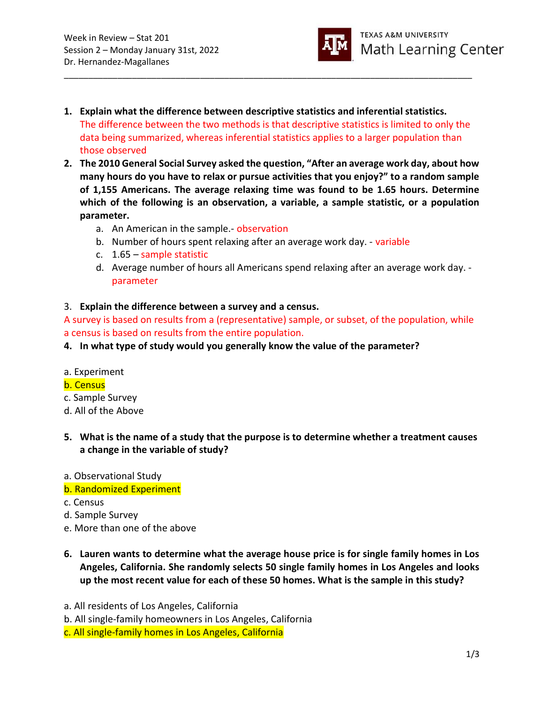

1. Explain what the difference between descriptive statistics and inferential statistics. The difference between the two methods is that descriptive statistics is limited to only the data being summarized, whereas inferential statistics applies to a larger population than those observed

\_\_\_\_\_\_\_\_\_\_\_\_\_\_\_\_\_\_\_\_\_\_\_\_\_\_\_\_\_\_\_\_\_\_\_\_\_\_\_\_\_\_\_\_\_\_\_\_\_\_\_\_\_\_\_\_\_\_\_\_\_\_\_\_\_\_\_\_\_\_\_\_\_\_\_\_\_\_\_\_\_\_\_\_

- 2. The 2010 General Social Survey asked the question, "After an average work day, about how many hours do you have to relax or pursue activities that you enjoy?" to a random sample of 1,155 Americans. The average relaxing time was found to be 1.65 hours. Determine which of the following is an observation, a variable, a sample statistic, or a population parameter.
	- a. An American in the sample.- observation
	- b. Number of hours spent relaxing after an average work day. variable
	- c. 1.65 sample statistic
	- d. Average number of hours all Americans spend relaxing after an average work day. parameter

### 3. Explain the difference between a survey and a census.

A survey is based on results from a (representative) sample, or subset, of the population, while a census is based on results from the entire population.

- 4. In what type of study would you generally know the value of the parameter?
- a. Experiment

#### b. Census

- c. Sample Survey
- d. All of the Above
- 5. What is the name of a study that the purpose is to determine whether a treatment causes a change in the variable of study?
- a. Observational Study
- b. Randomized Experiment
- c. Census
- d. Sample Survey
- e. More than one of the above
- 6. Lauren wants to determine what the average house price is for single family homes in Los Angeles, California. She randomly selects 50 single family homes in Los Angeles and looks up the most recent value for each of these 50 homes. What is the sample in this study?
- a. All residents of Los Angeles, California
- b. All single-family homeowners in Los Angeles, California
- c. All single-family homes in Los Angeles, California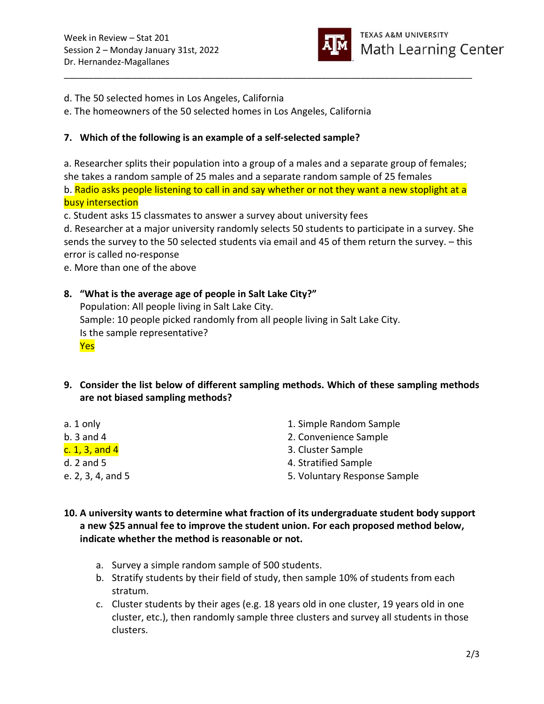

d. The 50 selected homes in Los Angeles, California

e. The homeowners of the 50 selected homes in Los Angeles, California

## 7. Which of the following is an example of a self-selected sample?

a. Researcher splits their population into a group of a males and a separate group of females; she takes a random sample of 25 males and a separate random sample of 25 females b. Radio asks people listening to call in and say whether or not they want a new stoplight at a busy intersection

\_\_\_\_\_\_\_\_\_\_\_\_\_\_\_\_\_\_\_\_\_\_\_\_\_\_\_\_\_\_\_\_\_\_\_\_\_\_\_\_\_\_\_\_\_\_\_\_\_\_\_\_\_\_\_\_\_\_\_\_\_\_\_\_\_\_\_\_\_\_\_\_\_\_\_\_\_\_\_\_\_\_\_\_

c. Student asks 15 classmates to answer a survey about university fees

d. Researcher at a major university randomly selects 50 students to participate in a survey. She sends the survey to the 50 selected students via email and 45 of them return the survey. – this error is called no-response

e. More than one of the above

# 8. "What is the average age of people in Salt Lake City?"

Population: All people living in Salt Lake City. Sample: 10 people picked randomly from all people living in Salt Lake City. Is the sample representative? Yes

- 9. Consider the list below of different sampling methods. Which of these sampling methods are not biased sampling methods?
- a. 1 only 1. Simple Random Sample b. 3 and 4 2. Convenience Sample  $c. 1, 3$ , and  $4$  3. Cluster Sample d. 2 and 5 4. Stratified Sample e. 2, 3, 4, and 5 5. Voluntary Response Sample
- 10. A university wants to determine what fraction of its undergraduate student body support a new \$25 annual fee to improve the student union. For each proposed method below, indicate whether the method is reasonable or not.
	- a. Survey a simple random sample of 500 students.
	- b. Stratify students by their field of study, then sample 10% of students from each stratum.
	- c. Cluster students by their ages (e.g. 18 years old in one cluster, 19 years old in one cluster, etc.), then randomly sample three clusters and survey all students in those clusters.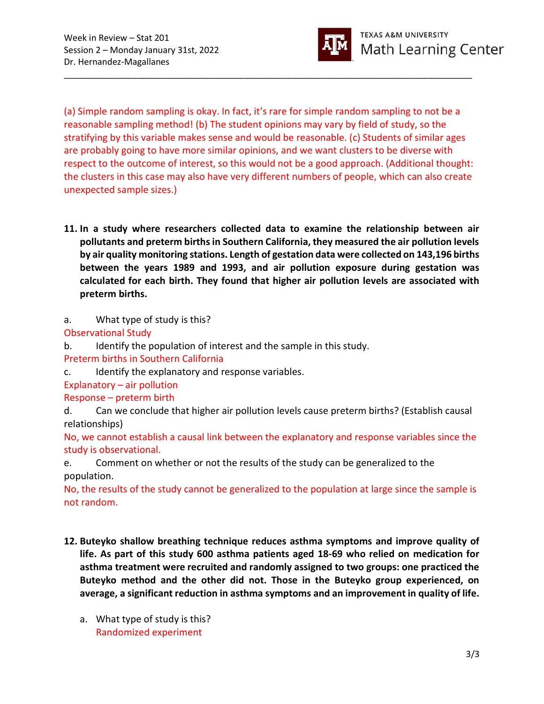

(a) Simple random sampling is okay. In fact, it's rare for simple random sampling to not be a reasonable sampling method! (b) The student opinions may vary by field of study, so the stratifying by this variable makes sense and would be reasonable. (c) Students of similar ages are probably going to have more similar opinions, and we want clusters to be diverse with respect to the outcome of interest, so this would not be a good approach. (Additional thought: the clusters in this case may also have very different numbers of people, which can also create unexpected sample sizes.)

\_\_\_\_\_\_\_\_\_\_\_\_\_\_\_\_\_\_\_\_\_\_\_\_\_\_\_\_\_\_\_\_\_\_\_\_\_\_\_\_\_\_\_\_\_\_\_\_\_\_\_\_\_\_\_\_\_\_\_\_\_\_\_\_\_\_\_\_\_\_\_\_\_\_\_\_\_\_\_\_\_\_\_\_

11. In a study where researchers collected data to examine the relationship between air pollutants and preterm births in Southern California, they measured the air pollution levels by air quality monitoring stations. Length of gestation data were collected on 143,196 births between the years 1989 and 1993, and air pollution exposure during gestation was calculated for each birth. They found that higher air pollution levels are associated with preterm births.

a. What type of study is this?

Observational Study

b. Identify the population of interest and the sample in this study.

Preterm births in Southern California

c. Identify the explanatory and response variables.

Explanatory – air pollution

Response – preterm birth

d. Can we conclude that higher air pollution levels cause preterm births? (Establish causal relationships)

No, we cannot establish a causal link between the explanatory and response variables since the study is observational.

e. Comment on whether or not the results of the study can be generalized to the population.

No, the results of the study cannot be generalized to the population at large since the sample is not random.

- 12. Buteyko shallow breathing technique reduces asthma symptoms and improve quality of life. As part of this study 600 asthma patients aged 18-69 who relied on medication for asthma treatment were recruited and randomly assigned to two groups: one practiced the Buteyko method and the other did not. Those in the Buteyko group experienced, on average, a significant reduction in asthma symptoms and an improvement in quality of life.
	- a. What type of study is this? Randomized experiment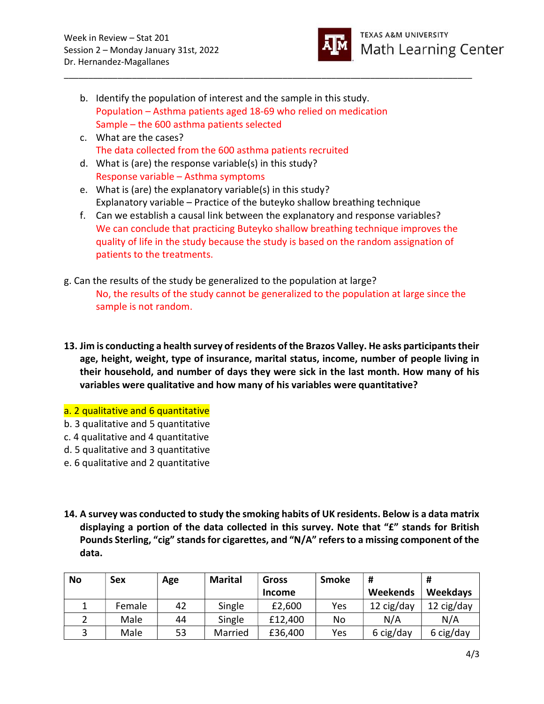

- b. Identify the population of interest and the sample in this study. Population – Asthma patients aged 18-69 who relied on medication Sample – the 600 asthma patients selected
- c. What are the cases? The data collected from the 600 asthma patients recruited
- d. What is (are) the response variable(s) in this study? Response variable – Asthma symptoms
- e. What is (are) the explanatory variable(s) in this study? Explanatory variable – Practice of the buteyko shallow breathing technique
- f. Can we establish a causal link between the explanatory and response variables? We can conclude that practicing Buteyko shallow breathing technique improves the quality of life in the study because the study is based on the random assignation of patients to the treatments.

\_\_\_\_\_\_\_\_\_\_\_\_\_\_\_\_\_\_\_\_\_\_\_\_\_\_\_\_\_\_\_\_\_\_\_\_\_\_\_\_\_\_\_\_\_\_\_\_\_\_\_\_\_\_\_\_\_\_\_\_\_\_\_\_\_\_\_\_\_\_\_\_\_\_\_\_\_\_\_\_\_\_\_\_

- g. Can the results of the study be generalized to the population at large? No, the results of the study cannot be generalized to the population at large since the sample is not random.
- 13. Jim is conducting a health survey of residents of the Brazos Valley. He asks participants their age, height, weight, type of insurance, marital status, income, number of people living in their household, and number of days they were sick in the last month. How many of his variables were qualitative and how many of his variables were quantitative?

## a. 2 qualitative and 6 quantitative

- b. 3 qualitative and 5 quantitative
- c. 4 qualitative and 4 quantitative
- d. 5 qualitative and 3 quantitative
- e. 6 qualitative and 2 quantitative
- 14. A survey was conducted to study the smoking habits of UK residents. Below is a data matrix displaying a portion of the data collected in this survey. Note that "£" stands for British Pounds Sterling, "cig" stands for cigarettes, and "N/A" refers to a missing component of the data.

| <b>No</b> | Sex    | Age | <b>Marital</b> | Gross         | <b>Smoke</b> | #          | #               |
|-----------|--------|-----|----------------|---------------|--------------|------------|-----------------|
|           |        |     |                | <b>Income</b> |              | Weekends   | <b>Weekdays</b> |
|           | Female | 42  | Single         | £2,600        | Yes          | 12 cig/day | 12 cig/day      |
|           | Male   | 44  | Single         | £12,400       | No           | N/A        | N/A             |
|           | Male   | 53  | Married        | £36,400       | Yes          | 6 cig/day  | 6 cig/day       |